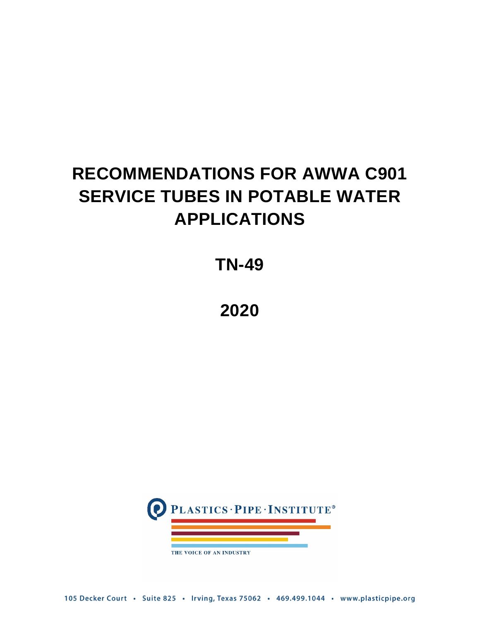# **RECOMMENDATIONS FOR AWWA C901 SERVICE TUBES IN POTABLE WATER APPLICATIONS**

## **TN-49**

**2020**



105 Decker Court · Suite 825 · Irving, Texas 75062 · 469.499.1044 · www.plasticpipe.org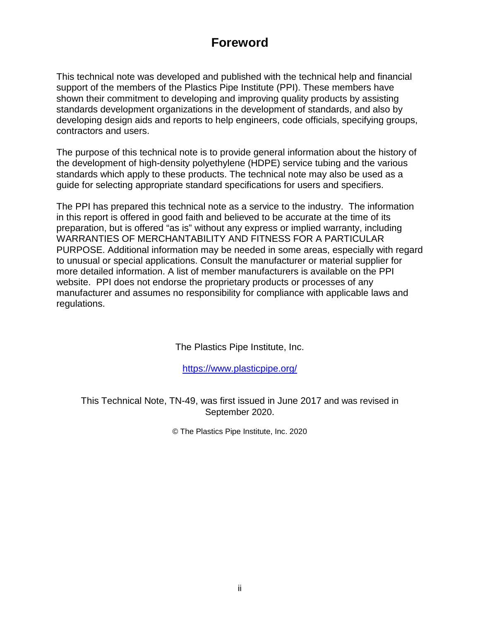## **Foreword**

This technical note was developed and published with the technical help and financial support of the members of the Plastics Pipe Institute (PPI). These members have shown their commitment to developing and improving quality products by assisting standards development organizations in the development of standards, and also by developing design aids and reports to help engineers, code officials, specifying groups, contractors and users.

The purpose of this technical note is to provide general information about the history of the development of high-density polyethylene (HDPE) service tubing and the various standards which apply to these products. The technical note may also be used as a guide for selecting appropriate standard specifications for users and specifiers.

The PPI has prepared this technical note as a service to the industry. The information in this report is offered in good faith and believed to be accurate at the time of its preparation, but is offered "as is" without any express or implied warranty, including WARRANTIES OF MERCHANTABILITY AND FITNESS FOR A PARTICULAR PURPOSE. Additional information may be needed in some areas, especially with regard to unusual or special applications. Consult the manufacturer or material supplier for more detailed information. A list of member manufacturers is available on the PPI website. PPI does not endorse the proprietary products or processes of any manufacturer and assumes no responsibility for compliance with applicable laws and regulations.

The Plastics Pipe Institute, Inc.

<https://www.plasticpipe.org/>

This Technical Note, TN-49, was first issued in June 2017 and was revised in September 2020.

© The Plastics Pipe Institute, Inc. 2020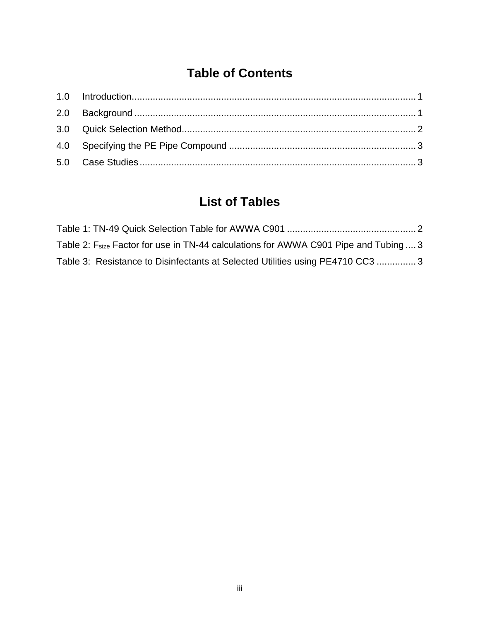## **Table of Contents**

## **List of Tables**

| Table 2: F <sub>size</sub> Factor for use in TN-44 calculations for AWWA C901 Pipe and Tubing  3 |  |
|--------------------------------------------------------------------------------------------------|--|
| Table 3: Resistance to Disinfectants at Selected Utilities using PE4710 CC3 3                    |  |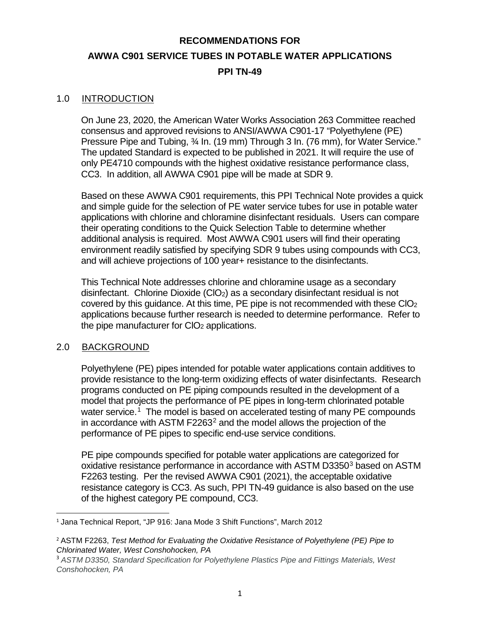## **RECOMMENDATIONS FOR AWWA C901 SERVICE TUBES IN POTABLE WATER APPLICATIONS PPI TN-49**

#### <span id="page-3-0"></span>1.0 INTRODUCTION

On June 23, 2020, the American Water Works Association 263 Committee reached consensus and approved revisions to ANSI/AWWA C901-17 "Polyethylene (PE) Pressure Pipe and Tubing, ¾ In. (19 mm) Through 3 In. (76 mm), for Water Service." The updated Standard is expected to be published in 2021. It will require the use of only PE4710 compounds with the highest oxidative resistance performance class, CC3. In addition, all AWWA C901 pipe will be made at SDR 9.

Based on these AWWA C901 requirements, this PPI Technical Note provides a quick and simple guide for the selection of PE water service tubes for use in potable water applications with chlorine and chloramine disinfectant residuals. Users can compare their operating conditions to the Quick Selection Table to determine whether additional analysis is required. Most AWWA C901 users will find their operating environment readily satisfied by specifying SDR 9 tubes using compounds with CC3, and will achieve projections of 100 year+ resistance to the disinfectants.

This Technical Note addresses chlorine and chloramine usage as a secondary disinfectant. Chlorine Dioxide (ClO<sub>2</sub>) as a secondary disinfectant residual is not covered by this guidance. At this time, PE pipe is not recommended with these  $ClO<sub>2</sub>$ applications because further research is needed to determine performance. Refer to the pipe manufacturer for  $ClO<sub>2</sub>$  applications.

#### <span id="page-3-1"></span>2.0 BACKGROUND

Polyethylene (PE) pipes intended for potable water applications contain additives to provide resistance to the long-term oxidizing effects of water disinfectants. Research programs conducted on PE piping compounds resulted in the development of a model that projects the performance of PE pipes in long-term chlorinated potable water service.<sup>[1](#page-3-2)</sup> The model is based on accelerated testing of many PE compounds in accordance with ASTM F[2](#page-3-3)263<sup>2</sup> and the model allows the projection of the performance of PE pipes to specific end-use service conditions.

PE pipe compounds specified for potable water applications are categorized for oxidative resistance performance in accordance with ASTM D[3](#page-3-4)350<sup>3</sup> based on ASTM F2263 testing. Per the revised AWWA C901 (2021), the acceptable oxidative resistance category is CC3. As such, PPI TN-49 guidance is also based on the use of the highest category PE compound, CC3.

<span id="page-3-2"></span> <sup>1</sup> Jana Technical Report, "JP 916: Jana Mode 3 Shift Functions", March 2012

<span id="page-3-3"></span><sup>2</sup> ASTM F2263, *Test Method for Evaluating the Oxidative Resistance of Polyethylene (PE) Pipe to Chlorinated Water, West Conshohocken, PA*

<span id="page-3-4"></span><sup>3</sup> *ASTM D3350, Standard Specification for Polyethylene Plastics Pipe and Fittings Materials, West Conshohocken, PA*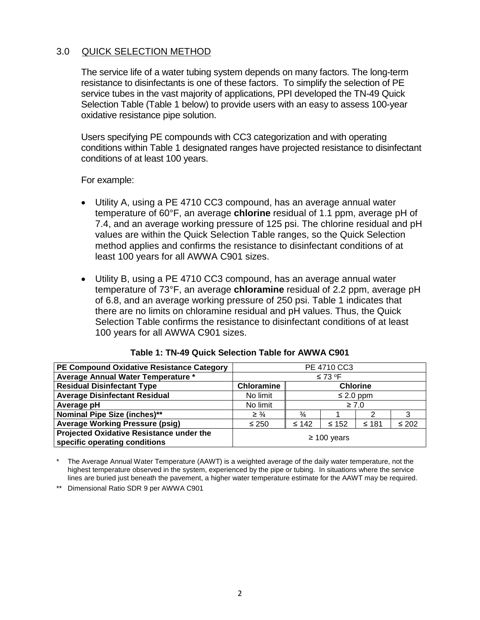#### <span id="page-4-0"></span>3.0 QUICK SELECTION METHOD

The service life of a water tubing system depends on many factors. The long-term resistance to disinfectants is one of these factors. To simplify the selection of PE service tubes in the vast majority of applications, PPI developed the TN-49 Quick Selection Table (Table 1 below) to provide users with an easy to assess 100-year oxidative resistance pipe solution.

Users specifying PE compounds with CC3 categorization and with operating conditions within Table 1 designated ranges have projected resistance to disinfectant conditions of at least 100 years.

For example:

- Utility A, using a PE 4710 CC3 compound, has an average annual water temperature of 60°F, an average **chlorine** residual of 1.1 ppm, average pH of 7.4, and an average working pressure of 125 psi. The chlorine residual and pH values are within the Quick Selection Table ranges, so the Quick Selection method applies and confirms the resistance to disinfectant conditions of at least 100 years for all AWWA C901 sizes.
- Utility B, using a PE 4710 CC3 compound, has an average annual water temperature of 73°F, an average **chloramine** residual of 2.2 ppm, average pH of 6.8, and an average working pressure of 250 psi. Table 1 indicates that there are no limits on chloramine residual and pH values. Thus, the Quick Selection Table confirms the resistance to disinfectant conditions of at least 100 years for all AWWA C901 sizes.

<span id="page-4-1"></span>

| PE Compound Oxidative Resistance Category                                 | PE 4710 CC3                          |                         |            |       |            |
|---------------------------------------------------------------------------|--------------------------------------|-------------------------|------------|-------|------------|
| Average Annual Water Temperature *                                        | $\leq 73$ °F                         |                         |            |       |            |
| <b>Residual Disinfectant Type</b>                                         | <b>Chloramine</b><br><b>Chlorine</b> |                         |            |       |            |
| <b>Average Disinfectant Residual</b>                                      | No limit                             | $\leq$ 2.0 ppm          |            |       |            |
| Average pH                                                                | No limit                             | $\geq 7.0$              |            |       |            |
| <b>Nominal Pipe Size (inches)**</b>                                       | $\geq \frac{3}{4}$                   | $\frac{3}{4}$<br>3<br>2 |            |       |            |
| <b>Average Working Pressure (psig)</b>                                    | $\leq 250$                           | $≤ 142$                 | $\leq 152$ | ≤ 181 | $\leq 202$ |
| Projected Oxidative Resistance under the<br>specific operating conditions | $\geq$ 100 years                     |                         |            |       |            |

|  |  |  | Table 1: TN-49 Quick Selection Table for AWWA C901 |  |  |  |
|--|--|--|----------------------------------------------------|--|--|--|
|--|--|--|----------------------------------------------------|--|--|--|

The Average Annual Water Temperature (AAWT) is a weighted average of the daily water temperature, not the highest temperature observed in the system, experienced by the pipe or tubing. In situations where the service lines are buried just beneath the pavement, a higher water temperature estimate for the AAWT may be required.

\*\* Dimensional Ratio SDR 9 per AWWA C901